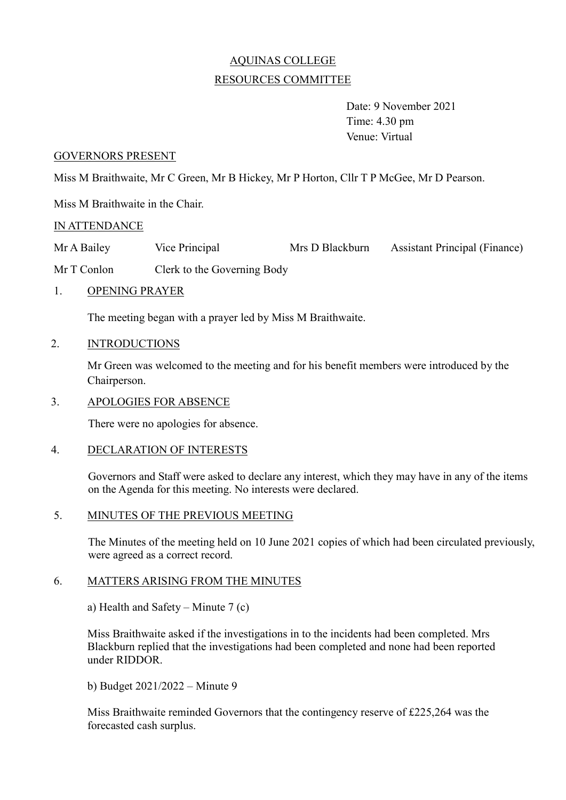## AQUINAS COLLEGE RESOURCES COMMITTEE

Date: 9 November 2021 Time: 4.30 pm Venue: Virtual

#### GOVERNORS PRESENT

Miss M Braithwaite, Mr C Green, Mr B Hickey, Mr P Horton, Cllr T P McGee, Mr D Pearson.

Miss M Braithwaite in the Chair.

## IN ATTENDANCE

Mr A Bailey Vice Principal Mrs D Blackburn Assistant Principal (Finance)

Mr T Conlon Clerk to the Governing Body

## 1. OPENING PRAYER

The meeting began with a prayer led by Miss M Braithwaite.

#### 2. INTRODUCTIONS

Mr Green was welcomed to the meeting and for his benefit members were introduced by the Chairperson.

#### 3. APOLOGIES FOR ABSENCE

There were no apologies for absence.

## 4. DECLARATION OF INTERESTS

Governors and Staff were asked to declare any interest, which they may have in any of the items on the Agenda for this meeting. No interests were declared.

## 5. MINUTES OF THE PREVIOUS MEETING

The Minutes of the meeting held on 10 June 2021 copies of which had been circulated previously, were agreed as a correct record.

## 6. MATTERS ARISING FROM THE MINUTES

a) Health and Safety – Minute 7 (c)

Miss Braithwaite asked if the investigations in to the incidents had been completed. Mrs Blackburn replied that the investigations had been completed and none had been reported under RIDDOR.

b) Budget 2021/2022 – Minute 9

Miss Braithwaite reminded Governors that the contingency reserve of £225,264 was the forecasted cash surplus.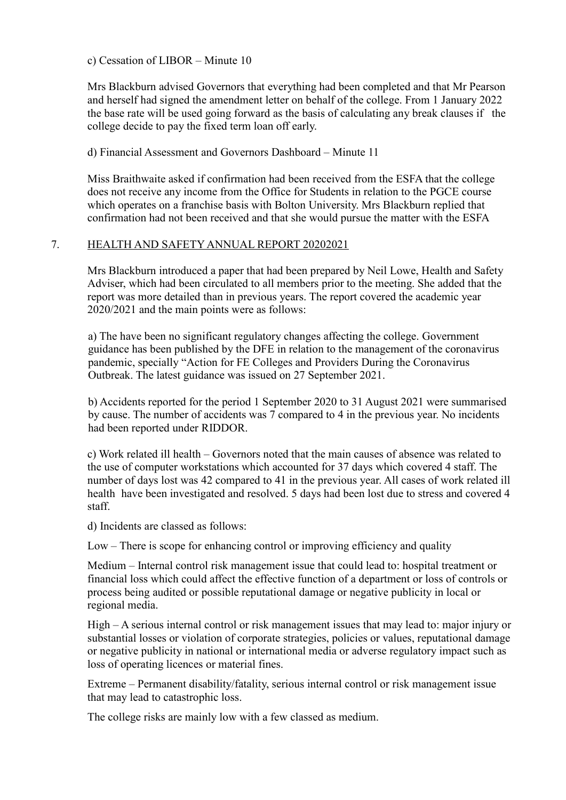#### c) Cessation of LIBOR – Minute 10

Mrs Blackburn advised Governors that everything had been completed and that Mr Pearson and herself had signed the amendment letter on behalf of the college. From 1 January 2022 the base rate will be used going forward as the basis of calculating any break clauses if the college decide to pay the fixed term loan off early.

### d) Financial Assessment and Governors Dashboard – Minute 11

Miss Braithwaite asked if confirmation had been received from the ESFA that the college does not receive any income from the Office for Students in relation to the PGCE course which operates on a franchise basis with Bolton University. Mrs Blackburn replied that confirmation had not been received and that she would pursue the matter with the ESFA

## 7. HEALTH AND SAFETY ANNUAL REPORT 20202021

Mrs Blackburn introduced a paper that had been prepared by Neil Lowe, Health and Safety Adviser, which had been circulated to all members prior to the meeting. She added that the report was more detailed than in previous years. The report covered the academic year 2020/2021 and the main points were as follows:

a) The have been no significant regulatory changes affecting the college. Government guidance has been published by the DFE in relation to the management of the coronavirus pandemic, specially "Action for FE Colleges and Providers During the Coronavirus Outbreak. The latest guidance was issued on 27 September 2021.

b) Accidents reported for the period 1 September 2020 to 31 August 2021 were summarised by cause. The number of accidents was 7 compared to 4 in the previous year. No incidents had been reported under RIDDOR.

c) Work related ill health – Governors noted that the main causes of absence was related to the use of computer workstations which accounted for 37 days which covered 4 staff. The number of days lost was 42 compared to 41 in the previous year. All cases of work related ill health have been investigated and resolved. 5 days had been lost due to stress and covered 4 staff.

d) Incidents are classed as follows:

Low – There is scope for enhancing control or improving efficiency and quality

Medium – Internal control risk management issue that could lead to: hospital treatment or financial loss which could affect the effective function of a department or loss of controls or process being audited or possible reputational damage or negative publicity in local or regional media.

High – A serious internal control or risk management issues that may lead to: major injury or substantial losses or violation of corporate strategies, policies or values, reputational damage or negative publicity in national or international media or adverse regulatory impact such as loss of operating licences or material fines.

Extreme – Permanent disability/fatality, serious internal control or risk management issue that may lead to catastrophic loss.

The college risks are mainly low with a few classed as medium.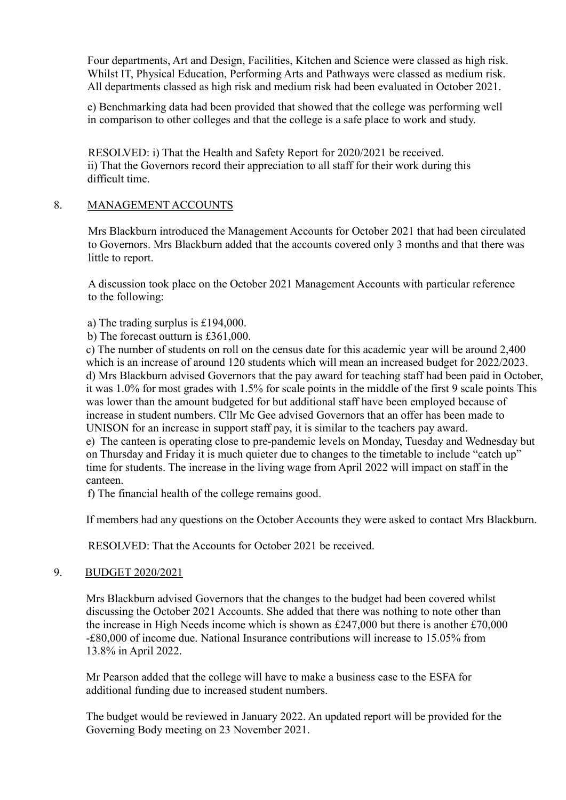Four departments, Art and Design, Facilities, Kitchen and Science were classed as high risk. Whilst IT, Physical Education, Performing Arts and Pathways were classed as medium risk. All departments classed as high risk and medium risk had been evaluated in October 2021.

 e) Benchmarking data had been provided that showed that the college was performing well in comparison to other colleges and that the college is a safe place to work and study.

RESOLVED: i) That the Health and Safety Report for 2020/2021 be received. ii) That the Governors record their appreciation to all staff for their work during this difficult time.

#### 8. MANAGEMENT ACCOUNTS

Mrs Blackburn introduced the Management Accounts for October 2021 that had been circulated to Governors. Mrs Blackburn added that the accounts covered only 3 months and that there was little to report.

A discussion took place on the October 2021 Management Accounts with particular reference to the following:

- a) The trading surplus is £194,000.
- b) The forecast outturn is £361,000.

c) The number of students on roll on the census date for this academic year will be around 2,400 which is an increase of around 120 students which will mean an increased budget for 2022/2023. d) Mrs Blackburn advised Governors that the pay award for teaching staff had been paid in October, it was 1.0% for most grades with 1.5% for scale points in the middle of the first 9 scale points This was lower than the amount budgeted for but additional staff have been employed because of increase in student numbers. Cllr Mc Gee advised Governors that an offer has been made to UNISON for an increase in support staff pay, it is similar to the teachers pay award.

e) The canteen is operating close to pre-pandemic levels on Monday, Tuesday and Wednesday but on Thursday and Friday it is much quieter due to changes to the timetable to include "catch up" time for students. The increase in the living wage from April 2022 will impact on staff in the canteen.

f) The financial health of the college remains good.

If members had any questions on the October Accounts they were asked to contact Mrs Blackburn.

RESOLVED: That the Accounts for October 2021 be received.

## 9. BUDGET 2020/2021

Mrs Blackburn advised Governors that the changes to the budget had been covered whilst discussing the October 2021 Accounts. She added that there was nothing to note other than the increase in High Needs income which is shown as £247,000 but there is another £70,000 -£80,000 of income due. National Insurance contributions will increase to 15.05% from 13.8% in April 2022.

Mr Pearson added that the college will have to make a business case to the ESFA for additional funding due to increased student numbers.

The budget would be reviewed in January 2022. An updated report will be provided for the Governing Body meeting on 23 November 2021.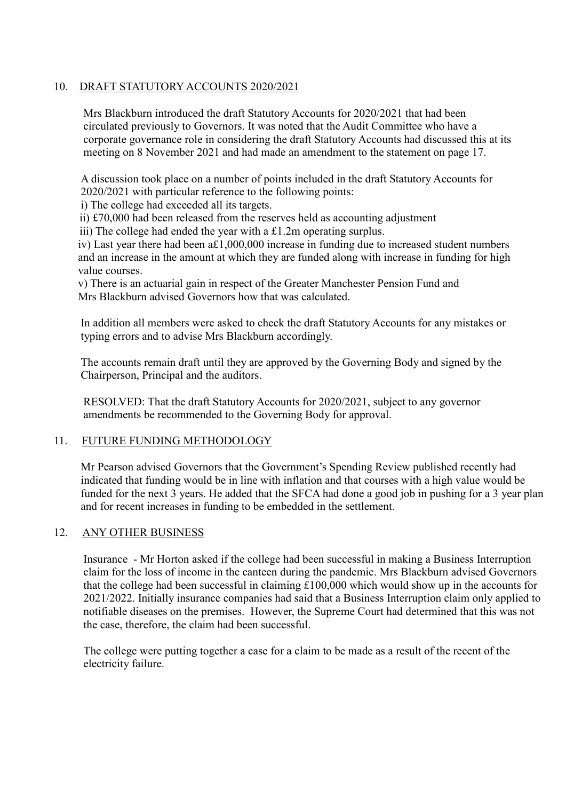## 10. DRAFT STATUTORY ACCOUNTS 2020/2021

Mrs Blackburn introduced the draft Statutory Accounts for 2020/2021 that had been circulated previously to Governors. It was noted that the Audit Committee who have a corporate governance role in considering the draft Statutory Accounts had discussed this at its meeting on 8 November 2021 and had made an amendment to the statement on page 17.

A discussion took place on a number of points included in the draft Statutory Accounts for 2020/2021 with particular reference to the following points:

i) The college had exceeded all its targets.

ii) £70,000 had been released from the reserves held as accounting adjustment

iii) The college had ended the year with a £1.2m operating surplus.

iv) Last year there had been a£1,000,000 increase in funding due to increased student numbers and an increase in the amount at which they are funded along with increase in funding for high value courses.

v) There is an actuarial gain in respect of the Greater Manchester Pension Fund and Mrs Blackburn advised Governors how that was calculated.

In addition all members were asked to check the draft Statutory Accounts for any mistakes or typing errors and to advise Mrs Blackburn accordingly.

The accounts remain draft until they are approved by the Governing Body and signed by the Chairperson, Principal and the auditors.

RESOLVED: That the draft Statutory Accounts for 2020/2021, subject to any governor amendments be recommended to the Governing Body for approval.

## 11. FUTURE FUNDING METHODOLOGY

Mr Pearson advised Governors that the Government's Spending Review published recently had indicated that funding would be in line with inflation and that courses with a high value would be funded for the next 3 years. He added that the SFCA had done a good job in pushing for a 3 year plan and for recent increases in funding to be embedded in the settlement.

## 12. ANY OTHER BUSINESS

Insurance - Mr Horton asked if the college had been successful in making a Business Interruption claim for the loss of income in the canteen during the pandemic. Mrs Blackburn advised Governors that the college had been successful in claiming £100,000 which would show up in the accounts for 2021/2022. Initially insurance companies had said that a Business Interruption claim only applied to notifiable diseases on the premises. However, the Supreme Court had determined that this was not the case, therefore, the claim had been successful.

The college were putting together a case for a claim to be made as a result of the recent of the electricity failure.